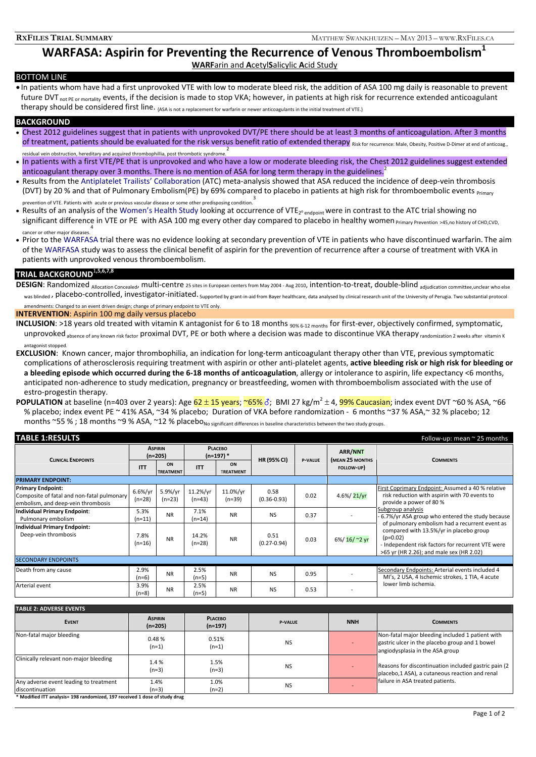## **WARFASA: Aspirin for Preventing the Recurrence of Venous Thromboembolism1 WARF**arin and **A**cetyl**S**alicylic **A**cid Study

## BOTTOM LINE

• In patients whom have had a first unprovoked VTE with low to moderate bleed risk, the addition of ASA 100 mg daily is reasonable to prevent future DVT<sub>not PE or mortality</sub> events, if the decision is made to stop VKA; however, in patients at high risk for recurrence extended anticoagulant therapy should be considered first line. {ASA is not a replacement for warfarin or newer anticoagulants in the initial treatment of VTE.}

## **BACKGROUND**

- Chest 2012 guidelines suggest that in patients with unprovoked DVT/PE there should be at least 3 months of anticoagulation. After 3 months of treatment, patients should be evaluated for the risk versus benefit ratio of extended therapy Risk for recurrence: Male, Obesity, Positive D-Dimer at end of anticoag. residual vein obstruction, hereditary and acquired thrombophillia, post thrombotic syndrome. 2
- In patients with a first VTE/PE that is unprovoked and who have a low or moderate bleeding risk, the Chest 2012 guidelines suggest extended anticoagulant therapy over 3 months. There is no mention of ASA for long term therapy in the guidelines.<sup>2</sup>
- Results from the Antiplatelet Trailists' Collaboration (ATC) meta‐analysis showed that ASA reduced the incidence of deep‐vein thrombosis (DVT) by 20 % and that of Pulmonary Embolism(PE) by 69% compared to placebo in patients at high risk for thromboembolic events Primary prevention of VTE. Patients with acute or previous vascular disease or some other predisposing condition. 3
- Results of an analysis of the Women's Health Study looking at occurrence of VTE<sub>2<sup>° endpoint</sub> were in contrast to the ATC trial showing no</sub></sup> significant difference in VTE or PE with ASA 100 mg every other day compared to placebo in healthy women Primary Prevention >45,no history of CHD,CVD, 4<br>. cancer or other major diseases.
- Prior to the WARFASA trial there was no evidence looking at secondary prevention of VTE in patients who have discontinued warfarin. The aim of the WARFASA study was to assess the clinical benefit of aspirin for the prevention of recurrence after a course of treatment with VKA in patients with unprovoked venous thromboembolism.

# **TRIAL BACKGROUND**<sup>1</sup>**,5,6,7,8**

DESIGN: Randomized Allocation Concealed, multi‐centre 25 sites in European centers from May 2004 ‐ Aug 2010, intention‐to‐treat, double‐blind adjudication committee,unclear who else was blinded , placebo-controlled, investigator-initiated. Supported by grant-in-aid from Bayer healthcare, data analysed by clinical research unit of the University of Perugia. Two substantial protocol amendments: Changed to an event driven design; change of primary endpoint to VTE only.

**INTERVENTION**: Aspirin 100 mg daily versus placebo

- **INCLUSION**: >18 years old treated with vitamin K antagonist for 6 to 18 months <sub>90% 6</sub>-12 months for first-ever, objectively confirmed, symptomatic, unprovoked absence of any known risk factor proximal DVT, PE or both where a decision was made to discontinue VKA therapy randomization 2 weeks after vitamin K antagonist stopped.
- **EXCLUSION**: Known cancer, major thrombophilia, an indication for long‐term anticoagulant therapy other than VTE, previous symptomatic complications of atherosclerosis requiring treatment with aspirin or other anti‐platelet agents, **active bleeding risk or high risk for bleeding or** a bleeding episode which occurred during the 6-18 months of anticoagulation, allergy or intolerance to aspirin, life expectancy <6 months, anticipated non‐adherence to study medication, pregnancy or breastfeeding, women with thromboembolism associated with the use of estro‐progestin therapy.
- **POPULATION** at baseline (n=403 over 2 years): Age  $62 \pm 15$  years; ~65%  $\delta$ ; BMI 27 kg/m<sup>2</sup> ± 4, 99% Caucasian; index event DVT ~60 % ASA, ~66 % placebo; index event PE ~ 41% ASA, ~34 % placebo; Duration of VKA before randomization - 6 months ~37 % ASA,~ 32 % placebo: 12 months ~55 % ; 18 months ~9 % ASA, ~12 % placebo<sub>No significant differences in baseline characteristics between the two study groups.</sub>

| <b>TABLE 1:RESULTS</b><br>Follow-up: mean $\approx$ 25 months                                                |                             |                        |                               |                        |                         |                |                            |                                                                                                                                                                                                          |  |
|--------------------------------------------------------------------------------------------------------------|-----------------------------|------------------------|-------------------------------|------------------------|-------------------------|----------------|----------------------------|----------------------------------------------------------------------------------------------------------------------------------------------------------------------------------------------------------|--|
| <b>CLINICAL ENDPOINTS</b>                                                                                    | <b>ASPIRIN</b><br>$(n=205)$ |                        | <b>PLACEBO</b><br>$(n=197)$ * |                        | <b>HR (95% CI)</b>      | <b>P-VALUE</b> | ARR/NNT<br>(MEAN 25 MONTHS | <b>COMMENTS</b>                                                                                                                                                                                          |  |
|                                                                                                              | <b>ITT</b>                  | ON<br><b>TREATMENT</b> | <b>ITT</b>                    | ON<br><b>TREATMENT</b> |                         |                | FOLLOW-UP)                 |                                                                                                                                                                                                          |  |
| <b>PRIMARY ENDPOINT:</b>                                                                                     |                             |                        |                               |                        |                         |                |                            |                                                                                                                                                                                                          |  |
| <b>Primary Endpoint:</b><br>Composite of fatal and non-fatal pulmonary<br>embolism, and deep-vein thrombosis | 6.6%/yr<br>$(n=28)$         | 5.9%/yr<br>$(n=23)$    | 11.2%/yr<br>$(n=43)$          | 11.0%/yr<br>$(n=39)$   | 0.58<br>$(0.36 - 0.93)$ | 0.02           | 4.6%/21/yr                 | First Coprimary Endpoint: Assumed a 40 % relative<br>risk reduction with aspirin with 70 events to<br>provide a power of 80 %<br>Subgroup analysis<br>6.7%/yr ASA group who entered the study because    |  |
| Individual Primary Endpoint:<br>Pulmonary embolism                                                           | 5.3%<br>$(n=11)$            | <b>NR</b>              | 7.1%<br>(n=14)                | <b>NR</b>              | <b>NS</b>               | 0.37           |                            |                                                                                                                                                                                                          |  |
| Individual Primary Endpoint:<br>Deep-vein thrombosis                                                         | 7.8%<br>$(n=16)$            | <b>NR</b>              | 14.2%<br>$(n=28)$             | <b>NR</b>              | 0.51<br>$(0.27 - 0.94)$ | 0.03           | 6%/16/~2 yr                | of pulmonary embolism had a recurrent event as<br>compared with 13.5%/yr in placebo group<br>$(p=0.02)$<br>- Independent risk factors for recurrent VTE were<br>>65 yr (HR 2.26); and male sex (HR 2.02) |  |
| <b>SECONDARY ENDPOINTS</b>                                                                                   |                             |                        |                               |                        |                         |                |                            |                                                                                                                                                                                                          |  |
| Death from any cause                                                                                         | 2.9%<br>$(n=6)$             | <b>NR</b>              | 2.5%<br>$(n=5)$               | <b>NR</b>              | <b>NS</b>               | 0.95           |                            | Secondary Endpoints: Arterial events included 4<br>MI's, 2 USA, 4 Ischemic strokes, 1 TIA, 4 acute<br>lower limb ischemia.                                                                               |  |
| Arterial event                                                                                               | 3.9%<br>(n=8)               | <b>NR</b>              | 2.5%<br>$(n=5)$               | <b>NR</b>              | <b>NS</b>               | 0.53           |                            |                                                                                                                                                                                                          |  |

| <b>TABLE 2: ADVERSE EVENTS</b>                                             |                             |                             |                |            |                                                                                                                                       |  |  |
|----------------------------------------------------------------------------|-----------------------------|-----------------------------|----------------|------------|---------------------------------------------------------------------------------------------------------------------------------------|--|--|
| <b>EVENT</b>                                                               | <b>ASPIRIN</b><br>$(n=205)$ | <b>PLACEBO</b><br>$(n=197)$ | <b>P-VALUE</b> | <b>NNH</b> | <b>COMMENTS</b>                                                                                                                       |  |  |
| Non-fatal major bleeding                                                   | 0.48%<br>$(n=1)$            | 0.51%<br>$(n=1)$            | <b>NS</b>      |            | Non-fatal major bleeding included 1 patient with<br>gastric ulcer in the placebo group and 1 bowel<br>angiodysplasia in the ASA group |  |  |
| Clinically relevant non-major bleeding                                     | 1.4 %<br>$(n=3)$            | 1.5%<br>$(n=3)$             | <b>NS</b>      |            | Reasons for discontinuation included gastric pain (2)<br>placebo,1 ASA), a cutaneous reaction and renal                               |  |  |
| Any adverse event leading to treatment<br>discontinuation                  | 1.4%<br>$(n=3)$             | 1.0%<br>$(n=2)$             | <b>NS</b>      |            | failure in ASA treated patients.                                                                                                      |  |  |
| * Modified ITT analysis= 198 randomized. 197 received 1 dose of study drug |                             |                             |                |            |                                                                                                                                       |  |  |

*Page 1 of 2*